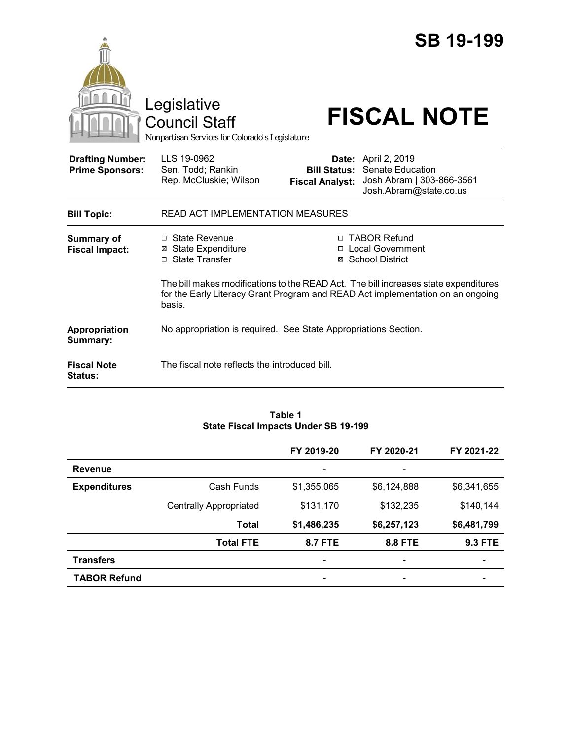|                                                   | Legislative<br><b>Council Staff</b>                                                                                                                                             | <b>SB 19-199</b><br><b>FISCAL NOTE</b>                                                                                                                        |  |  |  |
|---------------------------------------------------|---------------------------------------------------------------------------------------------------------------------------------------------------------------------------------|---------------------------------------------------------------------------------------------------------------------------------------------------------------|--|--|--|
|                                                   | Nonpartisan Services for Colorado's Legislature                                                                                                                                 |                                                                                                                                                               |  |  |  |
| <b>Drafting Number:</b><br><b>Prime Sponsors:</b> | LLS 19-0962<br>Sen. Todd; Rankin<br>Rep. McCluskie; Wilson                                                                                                                      | <b>Date:</b> April 2, 2019<br><b>Senate Education</b><br><b>Bill Status:</b><br>Josh Abram   303-866-3561<br><b>Fiscal Analyst:</b><br>Josh.Abram@state.co.us |  |  |  |
| <b>Bill Topic:</b>                                | <b>READ ACT IMPLEMENTATION MEASURES</b>                                                                                                                                         |                                                                                                                                                               |  |  |  |
| Summary of<br><b>Fiscal Impact:</b>               | □ State Revenue<br><b>⊠ State Expenditure</b><br>□ State Transfer                                                                                                               | □ TABOR Refund<br>$\Box$ Local Government<br>⊠ School District                                                                                                |  |  |  |
|                                                   | The bill makes modifications to the READ Act. The bill increases state expenditures<br>for the Early Literacy Grant Program and READ Act implementation on an ongoing<br>basis. |                                                                                                                                                               |  |  |  |
| Appropriation<br>Summary:                         | No appropriation is required. See State Appropriations Section.                                                                                                                 |                                                                                                                                                               |  |  |  |
| <b>Fiscal Note</b><br><b>Status:</b>              | The fiscal note reflects the introduced bill.                                                                                                                                   |                                                                                                                                                               |  |  |  |

#### **Table 1 State Fiscal Impacts Under SB 19-199**

|                     |                               | FY 2019-20     | FY 2020-21               | FY 2021-22     |
|---------------------|-------------------------------|----------------|--------------------------|----------------|
| <b>Revenue</b>      |                               |                |                          |                |
| <b>Expenditures</b> | Cash Funds                    | \$1,355,065    | \$6,124,888              | \$6,341,655    |
|                     | <b>Centrally Appropriated</b> | \$131,170      | \$132,235                | \$140,144      |
|                     | <b>Total</b>                  | \$1,486,235    | \$6,257,123              | \$6,481,799    |
|                     | <b>Total FTE</b>              | <b>8.7 FTE</b> | <b>8.8 FTE</b>           | <b>9.3 FTE</b> |
| <b>Transfers</b>    |                               |                |                          | -              |
| <b>TABOR Refund</b> |                               | -              | $\overline{\phantom{0}}$ |                |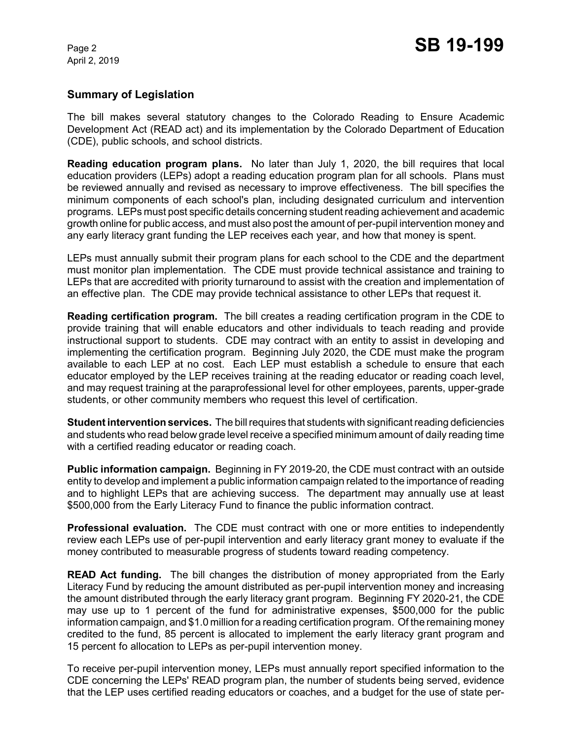## **Summary of Legislation**

The bill makes several statutory changes to the Colorado Reading to Ensure Academic Development Act (READ act) and its implementation by the Colorado Department of Education (CDE), public schools, and school districts.

**Reading education program plans.** No later than July 1, 2020, the bill requires that local education providers (LEPs) adopt a reading education program plan for all schools. Plans must be reviewed annually and revised as necessary to improve effectiveness. The bill specifies the minimum components of each school's plan, including designated curriculum and intervention programs. LEPs must post specific details concerning student reading achievement and academic growth online for public access, and must also post the amount of per-pupil intervention money and any early literacy grant funding the LEP receives each year, and how that money is spent.

LEPs must annually submit their program plans for each school to the CDE and the department must monitor plan implementation. The CDE must provide technical assistance and training to LEPs that are accredited with priority turnaround to assist with the creation and implementation of an effective plan. The CDE may provide technical assistance to other LEPs that request it.

**Reading certification program.** The bill creates a reading certification program in the CDE to provide training that will enable educators and other individuals to teach reading and provide instructional support to students. CDE may contract with an entity to assist in developing and implementing the certification program. Beginning July 2020, the CDE must make the program available to each LEP at no cost. Each LEP must establish a schedule to ensure that each educator employed by the LEP receives training at the reading educator or reading coach level, and may request training at the paraprofessional level for other employees, parents, upper-grade students, or other community members who request this level of certification.

**Student intervention services.** The bill requires that students with significant reading deficiencies and students who read below grade level receive a specified minimum amount of daily reading time with a certified reading educator or reading coach.

**Public information campaign.** Beginning in FY 2019-20, the CDE must contract with an outside entity to develop and implement a public information campaign related to the importance of reading and to highlight LEPs that are achieving success. The department may annually use at least \$500,000 from the Early Literacy Fund to finance the public information contract.

**Professional evaluation.** The CDE must contract with one or more entities to independently review each LEPs use of per-pupil intervention and early literacy grant money to evaluate if the money contributed to measurable progress of students toward reading competency.

**READ Act funding.** The bill changes the distribution of money appropriated from the Early Literacy Fund by reducing the amount distributed as per-pupil intervention money and increasing the amount distributed through the early literacy grant program. Beginning FY 2020-21, the CDE may use up to 1 percent of the fund for administrative expenses, \$500,000 for the public information campaign, and \$1.0 million for a reading certification program. Of the remaining money credited to the fund, 85 percent is allocated to implement the early literacy grant program and 15 percent fo allocation to LEPs as per-pupil intervention money.

To receive per-pupil intervention money, LEPs must annually report specified information to the CDE concerning the LEPs' READ program plan, the number of students being served, evidence that the LEP uses certified reading educators or coaches, and a budget for the use of state per-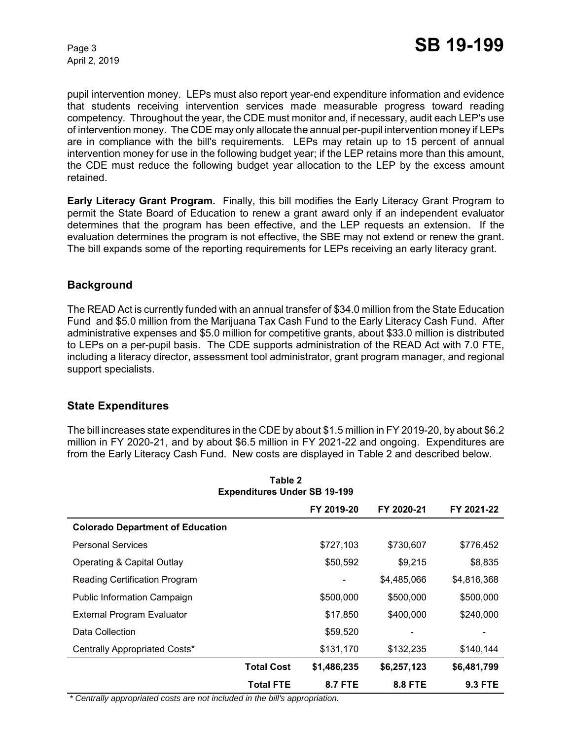pupil intervention money. LEPs must also report year-end expenditure information and evidence that students receiving intervention services made measurable progress toward reading competency. Throughout the year, the CDE must monitor and, if necessary, audit each LEP's use of intervention money. The CDE may only allocate the annual per-pupil intervention money if LEPs are in compliance with the bill's requirements. LEPs may retain up to 15 percent of annual intervention money for use in the following budget year; if the LEP retains more than this amount, the CDE must reduce the following budget year allocation to the LEP by the excess amount retained.

**Early Literacy Grant Program.** Finally, this bill modifies the Early Literacy Grant Program to permit the State Board of Education to renew a grant award only if an independent evaluator determines that the program has been effective, and the LEP requests an extension. If the evaluation determines the program is not effective, the SBE may not extend or renew the grant. The bill expands some of the reporting requirements for LEPs receiving an early literacy grant.

### **Background**

The READ Act is currently funded with an annual transfer of \$34.0 million from the State Education Fund and \$5.0 million from the Marijuana Tax Cash Fund to the Early Literacy Cash Fund. After administrative expenses and \$5.0 million for competitive grants, about \$33.0 million is distributed to LEPs on a per-pupil basis. The CDE supports administration of the READ Act with 7.0 FTE, including a literacy director, assessment tool administrator, grant program manager, and regional support specialists.

### **State Expenditures**

The bill increases state expenditures in the CDE by about \$1.5 million in FY 2019-20, by about \$6.2 million in FY 2020-21, and by about \$6.5 million in FY 2021-22 and ongoing. Expenditures are from the Early Literacy Cash Fund. New costs are displayed in Table 2 and described below.

| Table 2<br><b>Expenditures Under SB 19-199</b> |                   |                |                |                |  |  |  |  |
|------------------------------------------------|-------------------|----------------|----------------|----------------|--|--|--|--|
|                                                |                   | FY 2019-20     | FY 2020-21     | FY 2021-22     |  |  |  |  |
| <b>Colorado Department of Education</b>        |                   |                |                |                |  |  |  |  |
| <b>Personal Services</b>                       |                   | \$727,103      | \$730,607      | \$776,452      |  |  |  |  |
| Operating & Capital Outlay                     |                   | \$50,592       | \$9,215        | \$8,835        |  |  |  |  |
| Reading Certification Program                  |                   |                | \$4,485,066    | \$4,816,368    |  |  |  |  |
| <b>Public Information Campaign</b>             |                   | \$500,000      | \$500,000      | \$500,000      |  |  |  |  |
| <b>External Program Evaluator</b>              |                   | \$17,850       | \$400,000      | \$240,000      |  |  |  |  |
| Data Collection                                |                   | \$59,520       |                |                |  |  |  |  |
| Centrally Appropriated Costs*                  |                   | \$131,170      | \$132,235      | \$140,144      |  |  |  |  |
|                                                | <b>Total Cost</b> | \$1,486,235    | \$6,257,123    | \$6,481,799    |  |  |  |  |
|                                                | <b>Total FTE</b>  | <b>8.7 FTE</b> | <b>8.8 FTE</b> | <b>9.3 FTE</b> |  |  |  |  |

 *\* Centrally appropriated costs are not included in the bill's appropriation.*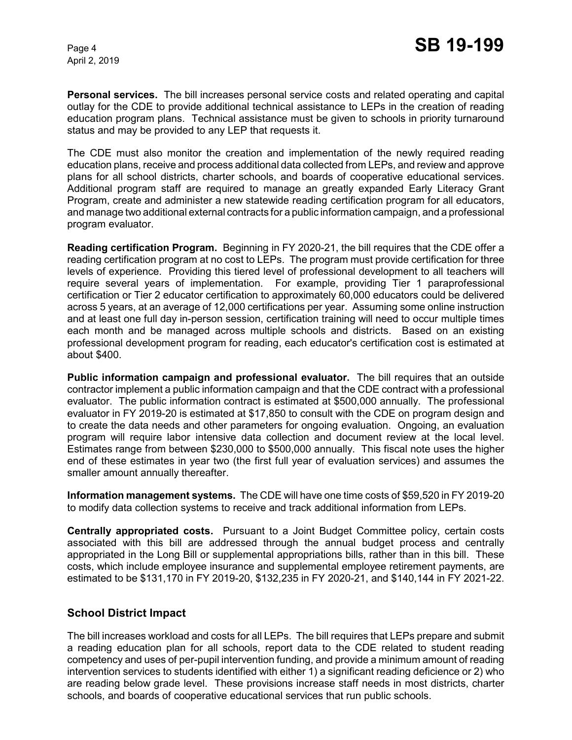**Personal services.** The bill increases personal service costs and related operating and capital outlay for the CDE to provide additional technical assistance to LEPs in the creation of reading education program plans. Technical assistance must be given to schools in priority turnaround status and may be provided to any LEP that requests it.

The CDE must also monitor the creation and implementation of the newly required reading education plans, receive and process additional data collected from LEPs, and review and approve plans for all school districts, charter schools, and boards of cooperative educational services. Additional program staff are required to manage an greatly expanded Early Literacy Grant Program, create and administer a new statewide reading certification program for all educators, and manage two additional external contracts for a public information campaign, and a professional program evaluator.

**Reading certification Program.** Beginning in FY 2020-21, the bill requires that the CDE offer a reading certification program at no cost to LEPs. The program must provide certification for three levels of experience. Providing this tiered level of professional development to all teachers will require several years of implementation. For example, providing Tier 1 paraprofessional certification or Tier 2 educator certification to approximately 60,000 educators could be delivered across 5 years, at an average of 12,000 certifications per year. Assuming some online instruction and at least one full day in-person session, certification training will need to occur multiple times each month and be managed across multiple schools and districts. Based on an existing professional development program for reading, each educator's certification cost is estimated at about \$400.

**Public information campaign and professional evaluator.** The bill requires that an outside contractor implement a public information campaign and that the CDE contract with a professional evaluator. The public information contract is estimated at \$500,000 annually. The professional evaluator in FY 2019-20 is estimated at \$17,850 to consult with the CDE on program design and to create the data needs and other parameters for ongoing evaluation. Ongoing, an evaluation program will require labor intensive data collection and document review at the local level. Estimates range from between \$230,000 to \$500,000 annually. This fiscal note uses the higher end of these estimates in year two (the first full year of evaluation services) and assumes the smaller amount annually thereafter.

**Information management systems.** The CDE will have one time costs of \$59,520 in FY 2019-20 to modify data collection systems to receive and track additional information from LEPs.

**Centrally appropriated costs.** Pursuant to a Joint Budget Committee policy, certain costs associated with this bill are addressed through the annual budget process and centrally appropriated in the Long Bill or supplemental appropriations bills, rather than in this bill. These costs, which include employee insurance and supplemental employee retirement payments, are estimated to be \$131,170 in FY 2019-20, \$132,235 in FY 2020-21, and \$140,144 in FY 2021-22.

# **School District Impact**

The bill increases workload and costs for all LEPs. The bill requires that LEPs prepare and submit a reading education plan for all schools, report data to the CDE related to student reading competency and uses of per-pupil intervention funding, and provide a minimum amount of reading intervention services to students identified with either 1) a significant reading deficience or 2) who are reading below grade level. These provisions increase staff needs in most districts, charter schools, and boards of cooperative educational services that run public schools.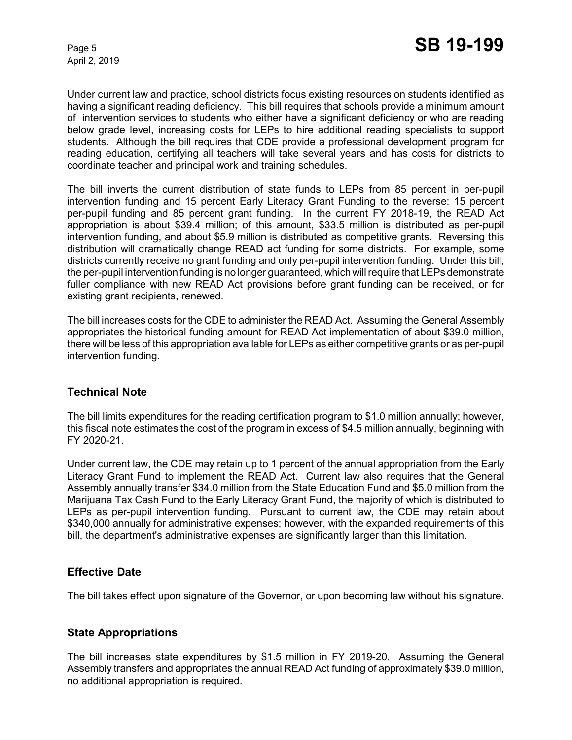Under current law and practice, school districts focus existing resources on students identified as having a significant reading deficiency. This bill requires that schools provide a minimum amount of intervention services to students who either have a significant deficiency or who are reading below grade level, increasing costs for LEPs to hire additional reading specialists to support students. Although the bill requires that CDE provide a professional development program for reading education, certifying all teachers will take several years and has costs for districts to coordinate teacher and principal work and training schedules.

The bill inverts the current distribution of state funds to LEPs from 85 percent in per-pupil intervention funding and 15 percent Early Literacy Grant Funding to the reverse: 15 percent per-pupil funding and 85 percent grant funding. In the current FY 2018-19, the READ Act appropriation is about \$39.4 million; of this amount, \$33.5 million is distributed as per-pupil intervention funding, and about \$5.9 million is distributed as competitive grants. Reversing this distribution will dramatically change READ act funding for some districts. For example, some districts currently receive no grant funding and only per-pupil intervention funding. Under this bill, the per-pupil intervention funding is no longer guaranteed, which will require that LEPs demonstrate fuller compliance with new READ Act provisions before grant funding can be received, or for existing grant recipients, renewed.

The bill increases costs for the CDE to administer the READ Act. Assuming the General Assembly appropriates the historical funding amount for READ Act implementation of about \$39.0 million, there will be less of this appropriation available for LEPs as either competitive grants or as per-pupil intervention funding.

### **Technical Note**

The bill limits expenditures for the reading certification program to \$1.0 million annually; however, this fiscal note estimates the cost of the program in excess of \$4.5 million annually, beginning with FY 2020-21.

Under current law, the CDE may retain up to 1 percent of the annual appropriation from the Early Literacy Grant Fund to implement the READ Act. Current law also requires that the General Assembly annually transfer \$34.0 million from the State Education Fund and \$5.0 million from the Marijuana Tax Cash Fund to the Early Literacy Grant Fund, the majority of which is distributed to LEPs as per-pupil intervention funding. Pursuant to current law, the CDE may retain about \$340,000 annually for administrative expenses; however, with the expanded requirements of this bill, the department's administrative expenses are significantly larger than this limitation.

### **Effective Date**

The bill takes effect upon signature of the Governor, or upon becoming law without his signature.

### **State Appropriations**

The bill increases state expenditures by \$1.5 million in FY 2019-20. Assuming the General Assembly transfers and appropriates the annual READ Act funding of approximately \$39.0 million, no additional appropriation is required.